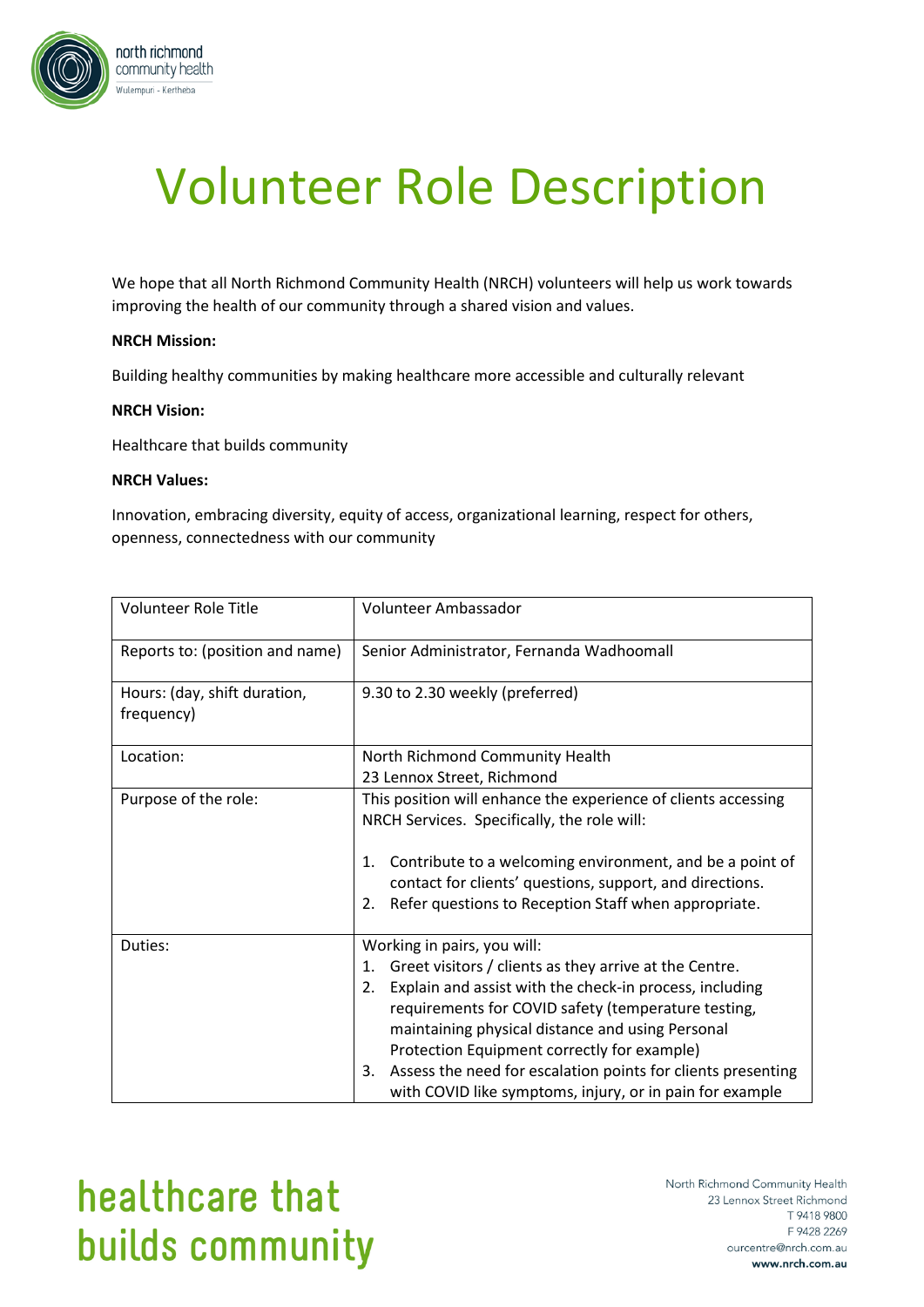

# Volunteer Role Description

We hope that all North Richmond Community Health (NRCH) volunteers will help us work towards improving the health of our community through a shared vision and values.

### **NRCH Mission:**

Building healthy communities by making healthcare more accessible and culturally relevant

#### **NRCH Vision:**

Healthcare that builds community

#### **NRCH Values:**

Innovation, embracing diversity, equity of access, organizational learning, respect for others, openness, connectedness with our community

| <b>Volunteer Role Title</b>                | Volunteer Ambassador                                                                                                                                                                                                                                                                                                                                                                                                                                     |
|--------------------------------------------|----------------------------------------------------------------------------------------------------------------------------------------------------------------------------------------------------------------------------------------------------------------------------------------------------------------------------------------------------------------------------------------------------------------------------------------------------------|
| Reports to: (position and name)            | Senior Administrator, Fernanda Wadhoomall                                                                                                                                                                                                                                                                                                                                                                                                                |
| Hours: (day, shift duration,<br>frequency) | 9.30 to 2.30 weekly (preferred)                                                                                                                                                                                                                                                                                                                                                                                                                          |
| Location:                                  | North Richmond Community Health<br>23 Lennox Street, Richmond                                                                                                                                                                                                                                                                                                                                                                                            |
| Purpose of the role:                       | This position will enhance the experience of clients accessing<br>NRCH Services. Specifically, the role will:<br>Contribute to a welcoming environment, and be a point of<br>1.<br>contact for clients' questions, support, and directions.<br>Refer questions to Reception Staff when appropriate.<br>2.                                                                                                                                                |
| Duties:                                    | Working in pairs, you will:<br>Greet visitors / clients as they arrive at the Centre.<br>1.<br>Explain and assist with the check-in process, including<br>2.<br>requirements for COVID safety (temperature testing,<br>maintaining physical distance and using Personal<br>Protection Equipment correctly for example)<br>Assess the need for escalation points for clients presenting<br>3.<br>with COVID like symptoms, injury, or in pain for example |

## healthcare that builds community

North Richmond Community Health 23 Lennox Street Richmond T 9418 9800 F 9428 2269 ourcentre@nrch.com.au www.nrch.com.au